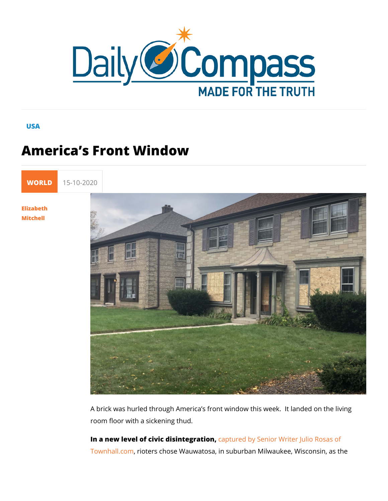## USA

## America s Front Window

[WORL](https://newdailycompass.com/en/world)I 15-10-2020

[Elizabe](/en/elizabeth-mitchell)th [Mitche](/en/elizabeth-mitchell)ll

> A brick was hurled through America s front window this week. room floor with a sickening thud.

In a new level of civic disintepotruateionby Senior Writer Julio Ros [Townhall](https://twitter.com/Julio_Rosas11/status/1314025827496087552).com ters chose Wauwatosa, in suburban Milwaukee, W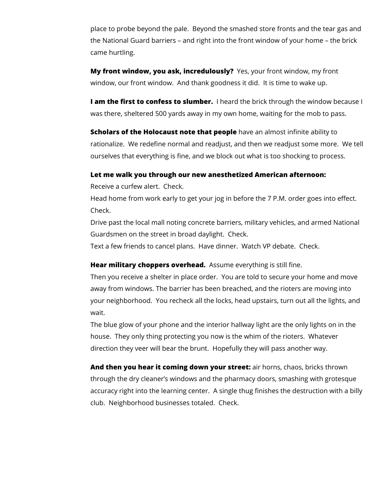place to probe beyond the pale. Beyond the smashed store fronts and the tear gas and the National Guard barriers – and right into the front window of your home – the brick came hurtling.

**My front window, you ask, incredulously?**  Yes, your front window, my front window, our front window. And thank goodness it did. It is time to wake up.

**I am the first to confess to slumber.** I heard the brick through the window because I was there, sheltered 500 yards away in my own home, waiting for the mob to pass.

**Scholars of the Holocaust note that people** have an almost infinite ability to rationalize. We redefine normal and readjust, and then we readjust some more. We tell ourselves that everything is fine, and we block out what is too shocking to process.

## **Let me walk you through our new anesthetized American afternoon:**

Receive a curfew alert. Check.

Head home from work early to get your jog in before the 7 P.M. order goes into effect. Check.

Drive past the local mall noting concrete barriers, military vehicles, and armed National Guardsmen on the street in broad daylight. Check.

Text a few friends to cancel plans. Have dinner. Watch VP debate. Check.

## **Hear military choppers overhead.** Assume everything is still fine.

Then you receive a shelter in place order. You are told to secure your home and move away from windows. The barrier has been breached, and the rioters are moving into your neighborhood. You recheck all the locks, head upstairs, turn out all the lights, and wait.

The blue glow of your phone and the interior hallway light are the only lights on in the house. They only thing protecting you now is the whim of the rioters. Whatever direction they veer will bear the brunt. Hopefully they will pass another way.

**And then you hear it coming down your street:** air horns, chaos, bricks thrown through the dry cleaner's windows and the pharmacy doors, smashing with grotesque accuracy right into the learning center. A single thug finishes the destruction with a billy club. Neighborhood businesses totaled. Check.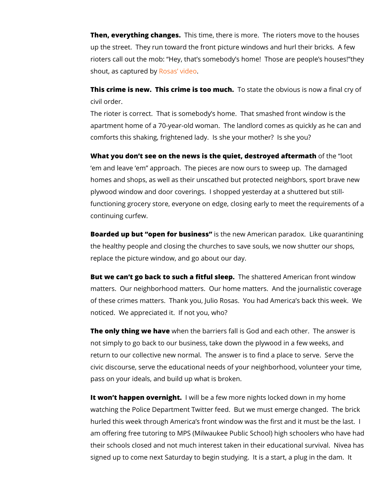Then, everything chall that ime, there is more. The rioters move up the street. They run toward the front picture windows and rioters call out the mob: Hey, that s somebody s homethely hose shout, as captuRroesdaby video

This crime is new. This crime is dosot antercthe obvious is now a civil order.

The rioter is correct. That is somebody s home. That smashe apartment home of a 70-year-old woman. The landlord comes comforts this shaking, frightened lady. Is she your mother? I

What you don t see on the news  $\frac{d}{dx}$  the  $\frac{d}{dx}$  destroyed dening the rmotatth eloot em and leave em approach. The pieces are now ours to swe homes and shops, as well as their unscathed but protected neighbors. plywood window and door coverings. I shopped yesterday at a functioning grocery store, everyone on edge, closing early to me continuing curfew.

Boarded up but open for bisis time some american paradox. Like quarantining the metal of the metal of  $\mathbf{S}$ the healthy people and closing the churches to save souls, we replace the picture window, and go about our day.

But we can t go back to such a f**Tin**feulsshlætet**e**red American front v matters. Our neighborhood matters. Our home matters. And of these crimes matters. Thank you, Julio Rosas. You had Am noticed. We appreciated it. If not you, who?

The only thing wewhen we barriers fall is God and each other. not simply to go back to our business, take down the plywood return to our collective new normal. The answer is to find a p civic discourse, serve the educational needs of your neighborh pass on your ideals, and build up what is broken.

It won t happen overlnwgihlt. be a few more nights locked down in watching the Police Department Twitter feed. But we must em hurled this week through America s front window was the first am offering free tutoring to MPS (Milwaukee Public School) hig their schools closed and not much interest taken in their educ signed up to come next Saturday to begin studying. It is a sta